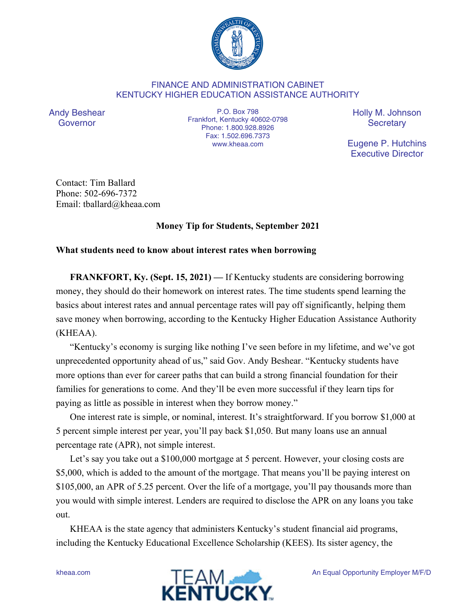

## FINANCE AND ADMINISTRATION CABINET KENTUCKY HIGHER EDUCATION ASSISTANCE AUTHORITY

Andy Beshear Governor

P.O. Box 798 Frankfort, Kentucky 40602-0798 Phone: 1.800.928.8926 Fax: 1.502.696.7373 www.kheaa.com

Holly M. Johnson **Secretary** 

Eugene P. Hutchins Executive Director

Contact: Tim Ballard Phone: 502-696-7372 Email: tballard@kheaa.com

## **Money Tip for Students, September 2021**

## **What students need to know about interest rates when borrowing**

**FRANKFORT, Ky. (Sept. 15, 2021) —** If Kentucky students are considering borrowing money, they should do their homework on interest rates. The time students spend learning the basics about interest rates and annual percentage rates will pay off significantly, helping them save money when borrowing, according to the Kentucky Higher Education Assistance Authority (KHEAA).

"Kentucky's economy is surging like nothing I've seen before in my lifetime, and we've got unprecedented opportunity ahead of us," said Gov. Andy Beshear. "Kentucky students have more options than ever for career paths that can build a strong financial foundation for their families for generations to come. And they'll be even more successful if they learn tips for paying as little as possible in interest when they borrow money."

One interest rate is simple, or nominal, interest. It's straightforward. If you borrow \$1,000 at 5 percent simple interest per year, you'll pay back \$1,050. But many loans use an annual percentage rate (APR), not simple interest.

Let's say you take out a \$100,000 mortgage at 5 percent. However, your closing costs are \$5,000, which is added to the amount of the mortgage. That means you'll be paying interest on \$105,000, an APR of 5.25 percent. Over the life of a mortgage, you'll pay thousands more than you would with simple interest. Lenders are required to disclose the APR on any loans you take out.

KHEAA is the state agency that administers Kentucky's student financial aid programs, including the Kentucky Educational Excellence Scholarship (KEES). Its sister agency, the